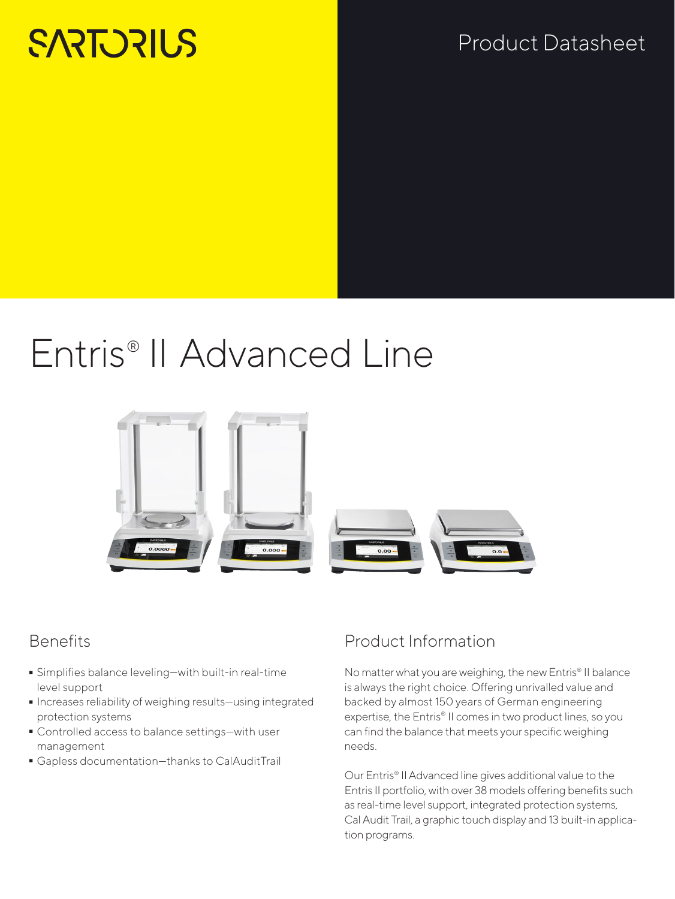# **SARTORILS**

# Product Datasheet

# Entris® II Advanced Line



### **Benefits**

- Simplifies balance leveling—with built-in real-time level support
- Increases reliability of weighing results—using integrated protection systems
- Controlled access to balance settings—with user management
- Gapless documentation—thanks to CalAuditTrail

## Product Information

No matter what you are weighing, the new Entris® II balance is always the right choice. Offering unrivalled value and backed by almost 150 years of German engineering expertise, the Entris® II comes in two product lines, so you can find the balance that meets your specific weighing needs.

Our Entris® II Advanced line gives additional value to the Entris II portfolio, with over 38 models offering benefits such as real-time level support, integrated protection systems, Cal Audit Trail, a graphic touch display and 13 built-in application programs.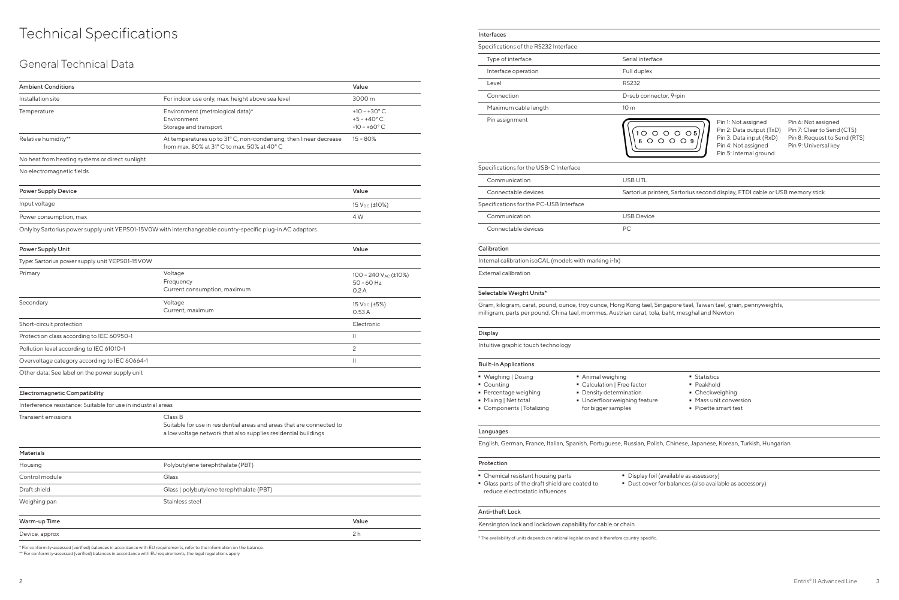# Technical Specifications

### General Technical Data

| <b>Ambient Conditions</b>                                                                                      |                                                                                                                  | Value                                                                  |  |  |
|----------------------------------------------------------------------------------------------------------------|------------------------------------------------------------------------------------------------------------------|------------------------------------------------------------------------|--|--|
| Installation site                                                                                              | For indoor use only, max. height above sea level                                                                 | 3000 m                                                                 |  |  |
| Temperature                                                                                                    | Environment (metrological data)*<br>Environment<br>Storage and transport                                         | $+10 - +30^{\circ}$ C<br>$+5 - +40^{\circ}$ C<br>$-10 - +60^{\circ}$ C |  |  |
| Relative humidity**                                                                                            | At temperatures up to 31° C, non-condensing, then linear decrease<br>from max, 80% at 31° C to max, 50% at 40° C | $15 - 80%$                                                             |  |  |
| No heat from heating systems or direct sunlight                                                                |                                                                                                                  |                                                                        |  |  |
| No electromagnetic fields                                                                                      |                                                                                                                  |                                                                        |  |  |
| <b>Power Supply Device</b>                                                                                     |                                                                                                                  | Value                                                                  |  |  |
| Input voltage                                                                                                  |                                                                                                                  | 15 $V_{DC}$ ( $\pm$ 10%)                                               |  |  |
| Power consumption, max                                                                                         |                                                                                                                  | 4 W                                                                    |  |  |
|                                                                                                                | Only by Sartorius power supply unit YEPS01-15VOW with interchangeable country-specific plug-in AC adaptors       |                                                                        |  |  |
| Power Supply Unit                                                                                              |                                                                                                                  | Value                                                                  |  |  |
| Type: Sartorius power supply unit YEPS01-15V0W                                                                 |                                                                                                                  |                                                                        |  |  |
| Primary                                                                                                        | Voltage<br>Frequency<br>Current consumption, maximum                                                             | 100 - 240 V <sub>AC</sub> (±10%)<br>$50 - 60$ Hz<br>0.2A               |  |  |
| Secondary                                                                                                      | Voltage<br>Current, maximum                                                                                      | 15 $V_{DC}$ (±5%)<br>0.53A                                             |  |  |
| Short-circuit protection                                                                                       |                                                                                                                  | Electronic                                                             |  |  |
| Protection class according to IEC 60950-1                                                                      |                                                                                                                  | $\mathbf{  }$                                                          |  |  |
| Pollution level according to IEC 61010-1                                                                       |                                                                                                                  | 2                                                                      |  |  |
| Overvoltage category according to IEC 60664-1                                                                  |                                                                                                                  | $\mathbf{H}$                                                           |  |  |
| Other data: See label on the power supply unit                                                                 |                                                                                                                  |                                                                        |  |  |
| Electromagnetic Compatibility                                                                                  |                                                                                                                  |                                                                        |  |  |
| $\sim$ $\sim$ $\sim$ $\sim$<br>the contract of the contract of the contract of the contract of the contract of |                                                                                                                  |                                                                        |  |  |

Pin 1: Not assigned Pin 2: Data output (TxD) Pin 3: Data input (RxD) Pin 4: Not assigned Pin 5: Internal ground

| Interference resistance: Suitable for use in industrial areas |                                                                                                                                                    |  |  |  |  |  |  |  |  |
|---------------------------------------------------------------|----------------------------------------------------------------------------------------------------------------------------------------------------|--|--|--|--|--|--|--|--|
| Transient emissions                                           | Class B<br>Suitable for use in residential areas and areas that are connected to<br>a low voltage network that also supplies residential buildings |  |  |  |  |  |  |  |  |

| <b>Materials</b> |                                          |                |
|------------------|------------------------------------------|----------------|
| Housing          | Polybutylene terephthalate (PBT)         |                |
| Control module   | Glass                                    |                |
| Draft shield     | Glass   polybutylene terephthalate (PBT) |                |
| Weighing pan     | Stainless steel                          |                |
| Warm-up Time     |                                          | Value          |
| Device, approx   |                                          | 2 <sub>h</sub> |

- Weighing | Dosing<br>• Counting
- Counting<br>■ Percenta
- 
- Percentage weighing<br>• Mixing | Net total
- Mixing | Net total
- Animal weighing<br>• Calculation | Free factor
- **-** Density determination ■ Density determination<br>■ Underfloor weighing f
- Underfloor weighing feature
- Components | Totalizing
- 
- for bigger samples
- Statistics<br>■ Peakhold
- 
- Checkweighing
- $-M$ ass unit conversion ■ Mass unit conversion<br>■ Pipette smart test
- Pipette smart test

\* For conformity-assessed (verified) balances in accordance with EU requirements, refer to the information on the balance.

- Chemical resistant housing parts<br>■ Glass parts of the draft shield are - Glass parts of the draft shield are coated to reduce electrostatic influences
- Display foil (available as assessory)

\*\* For conformity-assessed (verified) balances in accordance with EU requirements, the legal regulations apply.

Pin 6: Not assigned Pin 7: Clear to Send (CTS) Pin 8: Request to Send (RTS) Pin 9: Universal key

rius second display, FTDI cable or USB memory stick

ael, Taiwan tael, grain, pennyweights, sghal and Newton,

| Interfaces                                                                                                                                                      |                           |
|-----------------------------------------------------------------------------------------------------------------------------------------------------------------|---------------------------|
| Specifications of the RS232 Interface                                                                                                                           |                           |
| Type of interface                                                                                                                                               | Serial interface          |
| Interface operation                                                                                                                                             | Full duplex               |
| Level                                                                                                                                                           | <b>RS232</b>              |
| Connection                                                                                                                                                      | D-sub connector, 9-pin    |
| Maximum cable length                                                                                                                                            | 10 <sub>m</sub>           |
| Pin assignment                                                                                                                                                  |                           |
| Specifications for the USB-C Interface                                                                                                                          |                           |
| Communication                                                                                                                                                   | <b>USB UTL</b>            |
| Connectable devices                                                                                                                                             | Sartorius printers, Sarto |
| Specifications for the PC-USB Interface                                                                                                                         |                           |
| Communication                                                                                                                                                   | <b>USB Device</b>         |
| Connectable devices                                                                                                                                             | PC.                       |
| Calibration                                                                                                                                                     |                           |
| Internal calibration isoCAL (models with marking i-1x)                                                                                                          |                           |
| <b>External calibration</b>                                                                                                                                     |                           |
| Selectable Weight Units*                                                                                                                                        |                           |
| Gram, kilogram, carat, pound, ounce, troy ounce, Hong Kong tael, Singapore ta<br>milligram, parts per pound, China tael, mommes, Austrian carat, tola, baht, me |                           |
| Display                                                                                                                                                         |                           |
| Intuitive graphic touch technology                                                                                                                              |                           |

### Built-in Applications

#### Languages

English, German, France, Italian, Spanish, Portuguese, Russian, Polish, Chinese, Japanese, Korean, Turkish, Hungarian

#### Protection

- Dust cover for balances (also available as accessory)

#### Anti-theft Lock

- Kensington lock and lockdown capability for cable or chain
- \* The availability of units depends on national legislation and is therefore country-specific.

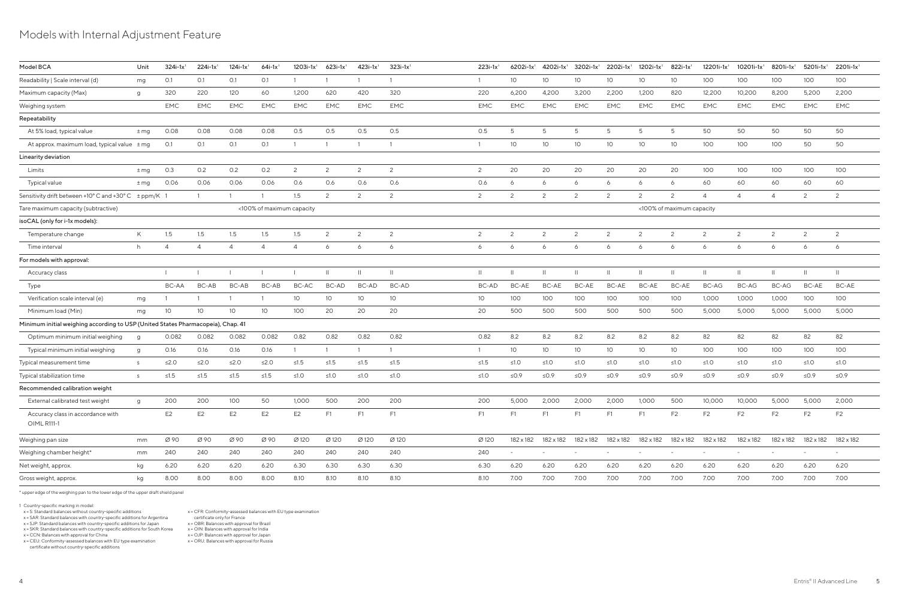### Models with Internal Adjustment Feature

| Model BCA                                                                        | Unit   | $324i-1x$ <sup>1</sup> | $224i-1x$ <sup>1</sup> | $124i-1x$ <sup>1</sup> | $64i-1x$ <sup>1</sup>     | $1203i-1x$ <sup>1</sup> | $623i-1x$ <sup>1</sup> | $423i-1x$ <sup>1</sup> | $323i-1x$ <sup>1</sup> | $223i-1x$ <sup>1</sup> | $6202i-1x$ <sup>1</sup> | 4202i-1x <sup>1</sup>    | $3202i - 1x^1$           | $2202i-1x$ <sup>1</sup> | $1202i-1x$ <sup>1</sup> | 822i-1x                   | $12201i - 1x$ <sup>1</sup> | $10201i - 1x1$ | 8201i-1x <sup>1</sup> | $5201i-1x$ <sup>1</sup> | $2201i - 1x$ <sup>1</sup> |
|----------------------------------------------------------------------------------|--------|------------------------|------------------------|------------------------|---------------------------|-------------------------|------------------------|------------------------|------------------------|------------------------|-------------------------|--------------------------|--------------------------|-------------------------|-------------------------|---------------------------|----------------------------|----------------|-----------------------|-------------------------|---------------------------|
| Readability   Scale interval (d)                                                 | mg     | O.1                    | 0.1                    | O.1                    | O.1                       |                         |                        |                        |                        |                        | 10                      | 10 <sup>°</sup>          | 10 <sup>°</sup>          | 10 <sup>°</sup>         | 10                      | 10 <sup>°</sup>           | 100                        | 100            | 100                   | 100                     | 100                       |
| Maximum capacity (Max)                                                           | g      | 320                    | 220                    | 120                    | 60                        | 1,200                   | 620                    | 420                    | 320                    | 220                    | 6,200                   | 4,200                    | 3,200                    | 2,200                   | 1,200                   | 820                       | 12,200                     | 10,200         | 8,200                 | 5,200                   | 2,200                     |
| Weighing system                                                                  |        | <b>EMC</b>             | <b>EMC</b>             | <b>EMC</b>             | <b>EMC</b>                | <b>EMC</b>              | <b>EMC</b>             | <b>EMC</b>             | <b>EMC</b>             | EMC                    | <b>EMC</b>              | <b>EMC</b>               | <b>EMC</b>               | <b>EMC</b>              | <b>EMC</b>              | <b>EMC</b>                | <b>EMC</b>                 | <b>EMC</b>     | <b>EMC</b>            | <b>EMC</b>              | <b>EMC</b>                |
| Repeatability                                                                    |        |                        |                        |                        |                           |                         |                        |                        |                        |                        |                         |                          |                          |                         |                         |                           |                            |                |                       |                         |                           |
| At 5% load, typical value                                                        | $±$ mg | 0.08                   | 0.08                   | 0.08                   | 0.08                      | O.5                     | O.5                    | 0.5                    | O.5                    | 0.5                    | -5                      | 5                        | 5                        | -5                      | -5                      | -5                        | 50                         | 50             | 50                    | 50                      | 50                        |
| At approx. maximum load, typical value ± mg                                      |        | 0.1                    | 0.1                    | O.1                    | O.1                       |                         |                        |                        |                        |                        | 10                      | 10 <sup>°</sup>          | 10 <sup>°</sup>          | 10 <sup>°</sup>         | 10 <sup>°</sup>         | 10 <sup>°</sup>           | 100                        | 100            | 100                   | 50                      | 50                        |
| Linearity deviation                                                              |        |                        |                        |                        |                           |                         |                        |                        |                        |                        |                         |                          |                          |                         |                         |                           |                            |                |                       |                         |                           |
| Limits                                                                           | $±$ mg | O.3                    | 0.2                    | 0.2                    | 0.2                       | 2                       | 2                      | $\overline{2}$         | 2                      | 2                      | 20                      | 20                       | 20                       | 20                      | 20                      | 20                        | 100                        | 100            | 100                   | 100                     | 100                       |
| <b>Typical value</b>                                                             | $±$ mg | 0.06                   | 0.06                   | 0.06                   | 0.06                      | 0.6                     | 0.6                    | 0.6                    | 0.6                    | 0.6                    | 6                       | 6                        | 6                        | 6                       | 6                       |                           | 60                         | 60             | 60                    | 60                      | 60                        |
| Sensitivity drift between +10°C and +30°C ± ppm/K 1                              |        |                        |                        |                        |                           | 1.5                     | $\mathcal{P}$          | $\overline{2}$         | 2                      | 2                      | 2                       | $\overline{2}$           | $\overline{c}$           | 2                       | 2                       | $\Omega$                  | $\overline{4}$             | $\Delta$       | $\Delta$              | $\overline{2}$          | 2                         |
| Tare maximum capacity (subtractive)                                              |        |                        |                        |                        | <100% of maximum capacity |                         |                        |                        |                        |                        |                         |                          |                          |                         |                         | <100% of maximum capacity |                            |                |                       |                         |                           |
| isoCAL (only for i-1x models):                                                   |        |                        |                        |                        |                           |                         |                        |                        |                        |                        |                         |                          |                          |                         |                         |                           |                            |                |                       |                         |                           |
| Temperature change                                                               | K      | 1.5                    | 1.5                    | 1.5                    | 1.5                       | 1.5                     | 2                      | 2                      | 2                      | 2                      | 2                       | $\overline{2}$           | $\overline{c}$           | 2                       | 2                       | 2                         | 2                          | 2              | 2                     | $\overline{2}$          | 2                         |
| Time interval                                                                    | h      |                        | $\overline{A}$         | $\overline{4}$         | $\overline{4}$            | $\overline{4}$          | 6                      | -6                     | 6                      | 6                      | 6                       | 6                        | 6                        | 6                       | 6                       |                           | 6                          | 6              | 6                     | 6                       | 6                         |
| For models with approval:                                                        |        |                        |                        |                        |                           |                         |                        |                        |                        |                        |                         |                          |                          |                         |                         |                           |                            |                |                       |                         |                           |
| Accuracy class                                                                   |        |                        |                        |                        |                           |                         |                        |                        |                        | $\mathbf{H}$           |                         |                          |                          | Ш                       |                         |                           |                            |                |                       | $\mathbf{H}$            | $\overline{\phantom{0}}$  |
| Type                                                                             |        | BC-AA                  | BC-AB                  | BC-AB                  | BC-AB                     | BC-AC                   | <b>BC-AD</b>           | BC-AD                  | BC-AD                  | BC-AD                  | <b>BC-AE</b>            | BC-AE                    | <b>BC-AE</b>             | BC-AE                   | <b>BC-AE</b>            | <b>BC-AE</b>              | <b>BC-AG</b>               | BC-AG          | BC-AG                 | <b>BC-AE</b>            | BC-AE                     |
| Verification scale interval (e)                                                  | mg     |                        |                        |                        |                           | 10 <sup>°</sup>         | 10 <sup>°</sup>        | 10 <sup>°</sup>        | 10                     | 10 <sup>°</sup>        | 100                     | 100                      | 100                      | 100                     | 100                     | 100                       | 1,000                      | 1,000          | 1,000                 | 100                     | 100                       |
| Minimum load (Min)                                                               | mg     | 10                     | 10 <sup>°</sup>        | 10 <sup>°</sup>        | 10                        | 100                     | 20                     | 20                     | 20                     | 20                     | 500                     | 500                      | 500                      | 500                     | 500                     | 500                       | 5,000                      | 5,000          | 5,000                 | 5,000                   | 5,000                     |
| Minimum initial weighing according to USP (United States Pharmacopeia), Chap. 41 |        |                        |                        |                        |                           |                         |                        |                        |                        |                        |                         |                          |                          |                         |                         |                           |                            |                |                       |                         |                           |
| Optimum minimum initial weighing                                                 | g      | 0.082                  | 0.082                  | 0.082                  | 0.082                     | 0.82                    | 0.82                   | 0.82                   | 0.82                   | 0.82                   | 8.2                     | 8.2                      | 8.2                      | 8.2                     | 8.2                     | 8.2                       | 82                         | 82             | 82                    | 82                      | 82                        |
| Typical minimum initial weighing                                                 | g      | 0.16                   | 0.16                   | 0.16                   | 0.16                      |                         |                        |                        |                        |                        | 10                      | 10                       | 10 <sup>°</sup>          | 10 <sup>°</sup>         | 10 <sup>°</sup>         | 10 <sup>°</sup>           | 100                        | 100            | 100                   | 100                     | 100                       |
| Typical measurement time                                                         | S      | ≤2.0                   | $\leq$ 2.0             | $≤2.0$                 | ≤2.0                      | $\leq 1.5$              | $≤1.5$                 | ≤1.5                   | $≤1.5$                 | $\leq 1.5$             | ≤1.0                    | ≤1.0                     | ≤1.0                     | ≤1.0                    | $≤1.0$                  | ≤1.0                      | ≤1.0                       | $≤1.0$         | $≤1.0$                | $≤1.0$                  | $\leq 1.0$                |
| Typical stabilization time                                                       | S.     | ≤1.5                   | $≤1.5$                 | $≤1.5$                 | $≤1.5$                    | $≤1.0$                  | ≤1.0                   | $≤1.0$                 | $≤1.0$                 | ≤1.0                   | $\leq 0.9$              | $≤0.9$                   | ≤ $0.9$                  | $\leq 0.9$              | $\leq 0.9$              | $\leq$ 0.9                | $\leq 0.9$                 | ≤0.9           | ≤0.9                  | ≤0.9                    | ≤0.9                      |
| Recommended calibration weight                                                   |        |                        |                        |                        |                           |                         |                        |                        |                        |                        |                         |                          |                          |                         |                         |                           |                            |                |                       |                         |                           |
| External calibrated test weight                                                  | g      | 200                    | 200                    | 100                    | 50                        | 1,000                   | 500                    | 200                    | 200                    | 200                    | 5,000                   | 2,000                    | 2,000                    | 2,000                   | 1,000                   | 500                       | 10,000                     | 10,000         | 5,000                 | 5,000                   | 2,000                     |
| Accuracy class in accordance with<br>OIML R111-1                                 |        | E <sub>2</sub>         | E <sub>2</sub>         | E <sub>2</sub>         | E <sub>2</sub>            | E <sub>2</sub>          | F1                     | F1                     | F1                     | F1                     | F <sub>1</sub>          | F1                       | F1                       | F1                      | F1                      | F <sub>2</sub>            | F <sub>2</sub>             | F <sub>2</sub> | F <sub>2</sub>        | F <sub>2</sub>          | F <sub>2</sub>            |
| Weighing pan size                                                                | mm     | Ø 90                   | Ø 90                   | Ø 90                   | Ø 90                      | Ø 120                   | Ø 120                  | Ø 120                  | Ø 120                  | Ø 120                  | 182 x 182               | 182 x 182                | 182 x 182                | 182 x 182               | 182 x 182               | 182 x 182                 | 182 x 182                  | 182 x 182      | 182 x 182             | 182 x 182               | 182 x 182                 |
| Weighing chamber height*                                                         | mm     | 240                    | 240                    | 240                    | 240                       | 240                     | 240                    | 240                    | 240                    | 240                    |                         | $\overline{\phantom{a}}$ | $\overline{\phantom{a}}$ |                         |                         |                           |                            |                |                       |                         |                           |
| Net weight, approx.                                                              | kg     | 6.20                   | 6.20                   | 6.20                   | 6.20                      | 6.30                    | 6.30                   | 6.30                   | 6.30                   | 6.30                   | 6.20                    | 6.20                     | 6.20                     | 6.20                    | 6.20                    | 6.20                      | 6.20                       | 6.20           | 6.20                  | 6.20                    | 6.20                      |
| Gross weight, approx.                                                            | kg     | 8.00                   | 8.00                   | 8.00                   | 8.00                      | 8.10                    | 8.10                   | 8.10                   | 8.10                   | 8.10                   | 7.00                    | 7.00                     | 7.00                     | 7.00                    | 7.00                    | 7.00                      | 7.00                       | 7.00           | 7.00                  | 7.00                    | 7.00                      |
|                                                                                  |        |                        |                        |                        |                           |                         |                        |                        |                        |                        |                         |                          |                          |                         |                         |                           |                            |                |                       |                         |                           |

\* upper edge of the weighing pan to the lower edge of the upper draft shield panel

1 Country-specific marking in model: x = S: Standard balances without country-specific additions x = SAR: Standard balances with country-specific additions for Argentina

x = SJP: Standard balances with country-specific additions for Japan

x = SKR: Standard balances with country-specific additions for South Korea

x = CCN: Balances with approval for China x = CEU: Conformity-assessed balances with EU type examination certificate without country-specific additions

x = CFR: Conformity-assessed balances with EU type examination certificate only for France

x = OBR: Balances with approval for Brazil x = OIN: Balances with approval for India

x = OJP: Balances with approval for Japan x = ORU: Balances with approval for Russia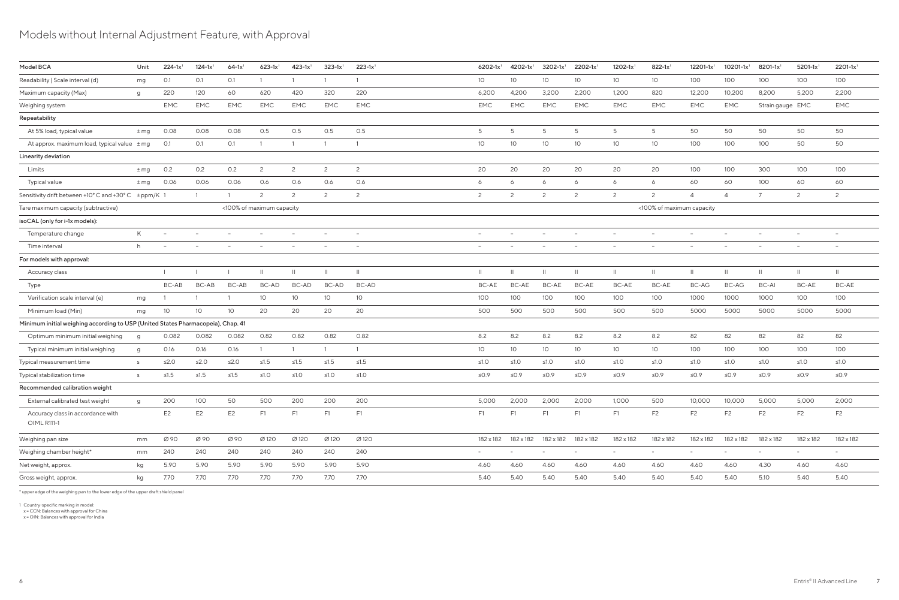## Models without Internal Adjustment Feature, with Approval

| Model BCA                                                                        | Unit     | $224 - 1x1$              | $124 - 1x1$     | $64-1x$ <sup>1</sup> | $623 - 1x$                | $423 - 1x$ <sup>1</sup>  | $323 - 1x$ <sup>1</sup>  | $223 - 1x$ <sup>1</sup>  | 6202-1x <sup>1</sup>     | $4202 - 1x$ <sup>1</sup> | $3202 - 1x$ <sup>1</sup>                           | $2202 - 1x$ <sup>1</sup> | $1202 - 1x$ <sup>1</sup> | $822 - 1x$                | 12201-1x1                       | 10201-1x1                | $8201 - 1x$ <sup>1</sup> | $5201 - 1x$ <sup>1</sup> | $2201 - 1x$ <sup>1</sup> |
|----------------------------------------------------------------------------------|----------|--------------------------|-----------------|----------------------|---------------------------|--------------------------|--------------------------|--------------------------|--------------------------|--------------------------|----------------------------------------------------|--------------------------|--------------------------|---------------------------|---------------------------------|--------------------------|--------------------------|--------------------------|--------------------------|
| Readability   Scale interval (d)                                                 | mg       | O.1                      | 0.1             | O.1                  |                           |                          |                          |                          | 10 <sup>°</sup>          | 10                       | 10                                                 | 10 <sup>°</sup>          | 10 <sup>°</sup>          | 10                        | 100                             | 100                      | 100                      | 100                      | 100                      |
| Maximum capacity (Max)                                                           | g        | 220                      | 120             | 60                   | 620                       | 420                      | 320                      | 220                      | 6,200                    | 4,200                    | 3,200                                              | 2,200                    | 1,200                    | 820                       | 12,200                          | 10,200                   | 8,200                    | 5,200                    | 2,200                    |
| Weighing system                                                                  |          | <b>EMC</b>               | EMC             | <b>EMC</b>           | EMC                       | <b>EMC</b>               | <b>EMC</b>               | EMC                      | EMC                      | <b>EMC</b>               | <b>EMC</b>                                         | <b>EMC</b>               | <b>EMC</b>               | <b>EMC</b>                | EMC                             | EMC                      | Strain gauge EMC         |                          | EMC                      |
| Repeatability                                                                    |          |                          |                 |                      |                           |                          |                          |                          |                          |                          |                                                    |                          |                          |                           |                                 |                          |                          |                          |                          |
| At 5% load, typical value                                                        | $±$ mg   | 0.08                     | 0.08            | 0.08                 | O.5                       | 0.5                      | 0.5                      | O.5                      | 5                        | 5                        | 5                                                  | 5                        | -5                       | 5                         | 50                              | 50                       | 50                       | 50                       | 50                       |
| At approx. maximum load, typical value $\pm$ mg                                  |          | O.1                      | O.1             | O.1                  |                           |                          |                          |                          | 10 <sup>°</sup>          | 10                       | 10                                                 | 10                       | 10 <sup>°</sup>          | 10                        | 100                             | 100                      | 100                      | 50                       | 50                       |
| Linearity deviation                                                              |          |                          |                 |                      |                           |                          |                          |                          |                          |                          |                                                    |                          |                          |                           |                                 |                          |                          |                          |                          |
| Limits                                                                           | $±$ mg   | 0.2                      | O.2             | 0.2                  | $\overline{2}$            | $\mathbf{2}$             | 2                        | $\overline{2}$           | 20                       | 20                       | 20                                                 | 20                       | 20                       | 20                        | 100                             | 100                      | 300                      | 100                      | 100                      |
| <b>Typical value</b>                                                             | $±$ mg   | 0.06                     | 0.06            | 0.06                 | 0.6                       | 0.6                      | 0.6                      | 0.6                      | 6                        | 6                        | 6                                                  | 6                        | 6                        | 6                         | 60                              | 60                       | 100                      | 60                       | 60                       |
| Sensitivity drift between +10° C and +30° C ± ppm/K 1                            |          |                          | $\overline{1}$  | $\overline{1}$       | 2                         | 2                        | 2                        | $\overline{2}$           | 2                        | 2                        | $\overline{c}$                                     | 2                        | $\mathcal{P}$            | 2                         | $\overline{4}$                  | $\overline{4}$           | $\overline{7}$           | 2                        | $\overline{c}$           |
| Tare maximum capacity (subtractive)                                              |          |                          |                 |                      | <100% of maximum capacity |                          |                          |                          |                          |                          |                                                    |                          |                          | <100% of maximum capacity |                                 |                          |                          |                          |                          |
| isoCAL (only for i-1x models):                                                   |          |                          |                 |                      |                           |                          |                          |                          |                          |                          |                                                    |                          |                          |                           |                                 |                          |                          |                          |                          |
| Temperature change                                                               | K        | $\overline{\phantom{a}}$ |                 |                      |                           | $\overline{\phantom{a}}$ | $\overline{\phantom{a}}$ | $\overline{\phantom{a}}$ |                          |                          |                                                    | $\overline{\phantom{a}}$ |                          | $\overline{\phantom{a}}$  | $\overline{\phantom{a}}$        |                          | $\overline{\phantom{a}}$ |                          | $\overline{\phantom{a}}$ |
| Time interval                                                                    | h        |                          |                 |                      |                           | $\overline{\phantom{a}}$ |                          | $\overline{\phantom{m}}$ | $\overline{\phantom{0}}$ |                          |                                                    | $\overline{\phantom{m}}$ |                          | $\overline{\phantom{m}}$  | $\hspace{0.1mm}-\hspace{0.1mm}$ |                          | $\overline{\phantom{m}}$ |                          |                          |
| For models with approval:                                                        |          |                          |                 |                      |                           |                          |                          |                          |                          |                          |                                                    |                          |                          |                           |                                 |                          |                          |                          |                          |
| Accuracy class                                                                   |          |                          |                 |                      | -11                       |                          | $\mathbf{H}$             | $\mathbf{H}$             | $\mathbf{  }$            |                          | $\overline{\phantom{0}}$                           | $\mathbf{H}$             | $\mathbf{H}$             | $\mathbf{H}$              | $\mathbf{H}$                    | $\mathbf{H}$             | $\mathbf{H}$             |                          | $\overline{\mathbf{u}}$  |
| Type                                                                             |          | BC-AB                    | BC-AB           | <b>BC-AB</b>         | BC-AD                     | BC-AD                    | BC-AD                    | BC-AD                    | BC-AE                    | <b>BC-AE</b>             | BC-AE                                              | <b>BC-AE</b>             | BC-AE                    | <b>BC-AE</b>              | BC-AG                           | BC-AG                    | BC-AI                    | BC-AE                    | BC-AE                    |
| Verification scale interval (e)                                                  | mg       |                          |                 |                      | 10 <sup>°</sup>           | 10 <sup>°</sup>          | 10 <sup>°</sup>          | 10 <sup>°</sup>          | 100                      | 100                      | 100                                                | 100                      | 100                      | 100                       | 1000                            | 1000                     | 1000                     | 100                      | 100                      |
| Minimum load (Min)                                                               | mg       | 10 <sup>°</sup>          | 10 <sup>°</sup> | 10                   | 20                        | 20                       | 20                       | 20                       | 500                      | 500                      | 500                                                | 500                      | 500                      | 500                       | 5000                            | 5000                     | 5000                     | 5000                     | 5000                     |
| Minimum initial weighing according to USP (United States Pharmacopeia), Chap. 41 |          |                          |                 |                      |                           |                          |                          |                          |                          |                          |                                                    |                          |                          |                           |                                 |                          |                          |                          |                          |
| Optimum minimum initial weighing                                                 | <b>a</b> | 0.082                    | 0.082           | 0.082                | 0.82                      | 0.82                     | 0.82                     | 0.82                     | 8.2                      | 8.2                      | 8.2                                                | 8.2                      | 8.2                      | 8.2                       | 82                              | 82                       | 82                       | 82                       | 82                       |
| Typical minimum initial weighing                                                 | g        | 0.16                     | 0.16            | 0.16                 |                           |                          | $\overline{1}$           |                          | 10                       | 10                       | 10 <sup>°</sup>                                    | 10 <sup>°</sup>          | 10 <sup>°</sup>          | 10                        | 100                             | 100                      | 100                      | 100                      | 100                      |
| Typical measurement time                                                         | S        | $≤2.0$                   | $\leq$ 2.0      | $\leq 2.0$           | $≤1.5$                    | $≤1.5$                   | $\leq 1.5$               | $≤1.5$                   | $≤1.0$                   | ≤1. $O$                  | $\leq1.0$                                          | ≤1.0                     | ≤1.0                     | ≤1.0                      | $\leq 1.0$                      | ≤1.0                     | $\leq 1.0$               | ≤1.0                     | $\leq1.0$                |
| Typical stabilization time                                                       | S        | $≤1.5$                   | $≤1.5$          | $≤1.5$               | $≤1.0$                    | ≤1.0                     | $\leq1.0$                | ≤1.0                     | $\leq 0.9$               | ≤ $0.9$                  | $\leq 0.9$                                         | ≤0.9                     | ≤0.9                     | $\leq 0.9$                | ≤0.9                            | $\leq 0.9$               | $\leq$ 0.9               | $\leq$ 0.9               | ≤0.9                     |
| Recommended calibration weight                                                   |          |                          |                 |                      |                           |                          |                          |                          |                          |                          |                                                    |                          |                          |                           |                                 |                          |                          |                          |                          |
| External calibrated test weight                                                  | g        | 200                      | 100             | 50                   | 500                       | 200                      | 200                      | 200                      | 5,000                    | 2,000                    | 2,000                                              | 2,000                    | 1,000                    | 500                       | 10,000                          | 10,000                   | 5,000                    | 5,000                    | 2,000                    |
| Accuracy class in accordance with<br><b>OIML R111-1</b>                          |          | E <sub>2</sub>           | E <sub>2</sub>  | E <sub>2</sub>       | F1                        | F <sub>1</sub>           | F1                       | F1                       | F1                       | F <sub>1</sub>           | F1                                                 | F1                       | F1                       | F <sub>2</sub>            | F <sub>2</sub>                  | F <sub>2</sub>           | F <sub>2</sub>           | F <sub>2</sub>           | F <sub>2</sub>           |
| Weighing pan size                                                                | mm       | Ø 90                     | Ø 90            | Ø 90                 | Ø 120                     | Ø 120                    | Ø 120                    | Ø 120                    |                          |                          | $182 \times 182$ $182 \times 182$ $182 \times 182$ | 182 x 182                | 182 x 182                | 182 x 182                 | 182 x 182                       | 182 x 182                | 182 x 182                | 182 x 182                | 182 x 182                |
| Weighing chamber height*                                                         | mm       | 240                      | 240             | 240                  | 240                       | 240                      | 240                      | 240                      | $\sim$                   | $-$                      | $\overline{\phantom{a}}$                           | $\overline{\phantom{a}}$ | $\sim$                   | $\sim$                    | $\sim$                          | $\overline{\phantom{a}}$ | $\overline{\phantom{a}}$ | $\sim$                   | $\overline{\phantom{a}}$ |
| Net weight, approx.                                                              | kg       | 5.90                     | 5.90            | 5.90                 | 5.90                      | 5.90                     | 5.90                     | 5.90                     | 4.60                     | 4.60                     | 4.60                                               | 4.60                     | 4.60                     | 4.60                      | 4.60                            | 4.60                     | 4.30                     | 4.60                     | 4.60                     |
| Gross weight, approx.                                                            | kg       | 7.70                     | 7.70            | 7.70                 | 7.70                      | 7.70                     | 7.70                     | 7.70                     | 5.40                     | 5.40                     | 5.40                                               | 5.40                     | 5.40                     | 5.40                      | 5.40                            | 5.40                     | 5.10                     | 5.40                     | 5.40                     |
|                                                                                  |          |                          |                 |                      |                           |                          |                          |                          |                          |                          |                                                    |                          |                          |                           |                                 |                          |                          |                          |                          |

\* upper edge of the weighing pan to the lower edge of the upper draft shield panel

1 Country-specific marking in model: x = CCN: Balances with approval for China x = OIN: Balances with approval for India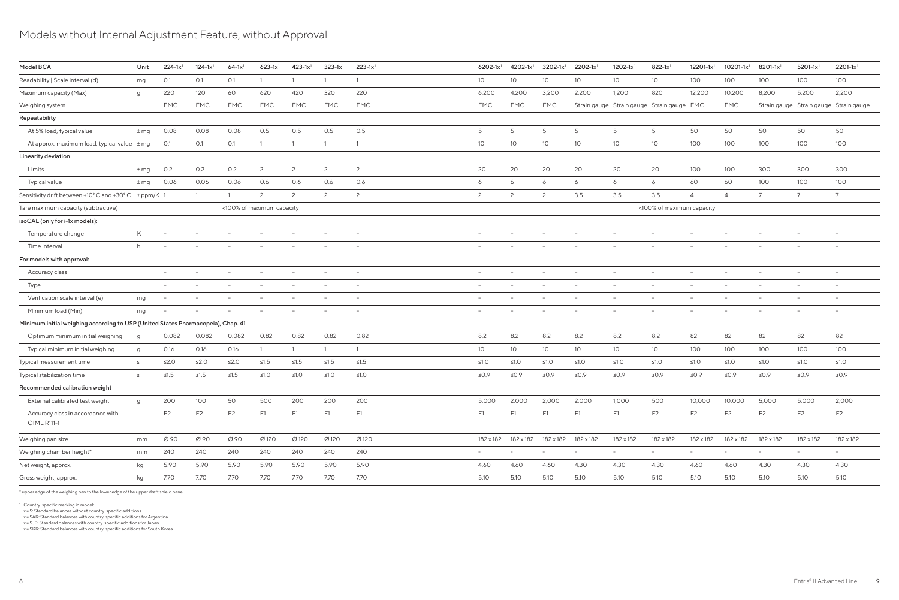# Models without Internal Adjustment Feature, without Approval

| Model BCA                                                                        | Unit     | $224-1x$ <sup>1</sup>    | $124-1x$ <sup>1</sup>    | $64-1x$ <sup>1</sup> | $623 - 1x$ <sup>1</sup>   | $423-1x$ <sup>1</sup>    | $323 - 1x$ <sup>1</sup>  | $223 - 1x$ <sup>1</sup>  | $6202 - 1x1$                    | $4202 - 1x$ <sup>1</sup> | $3202 - 1x$ <sup>1</sup> | 2202-1x                  | $1202 - 1x$ <sup>1</sup> | $822 - 1x$                                 | 12201-1x                 | $10201 - 1x$ <sup>1</sup> | 8201-1x1                 | $5201 - 1x$ <sup>1</sup> | $2201 - 1x$ <sup>1</sup>               |
|----------------------------------------------------------------------------------|----------|--------------------------|--------------------------|----------------------|---------------------------|--------------------------|--------------------------|--------------------------|---------------------------------|--------------------------|--------------------------|--------------------------|--------------------------|--------------------------------------------|--------------------------|---------------------------|--------------------------|--------------------------|----------------------------------------|
| Readability   Scale interval (d)                                                 | mg       | O.1                      | O.1                      | O.1                  |                           |                          |                          |                          | 10 <sup>°</sup>                 | 10 <sup>°</sup>          | 10                       | 10 <sup>°</sup>          | 10 <sup>°</sup>          | 10 <sup>°</sup>                            | 100                      | 100                       | 100                      | 100                      | 100                                    |
| Maximum capacity (Max)                                                           | g        | 220                      | 120                      | 60                   | 620                       | 420                      | 320                      | 220                      | 6,200                           | 4,200                    | 3,200                    | 2,200                    | 1,200                    | 820                                        | 12,200                   | 10,200                    | 8,200                    | 5,200                    | 2,200                                  |
| Weighing system                                                                  |          | <b>EMC</b>               | <b>EMC</b>               | <b>EMC</b>           | EMC                       | <b>EMC</b>               | <b>EMC</b>               | EMC                      | <b>EMC</b>                      | <b>EMC</b>               | EMC                      |                          |                          | Strain gauge Strain gauge Strain gauge EMC |                          | EMC                       |                          |                          | Strain gauge Strain gauge Strain gauge |
| Repeatability                                                                    |          |                          |                          |                      |                           |                          |                          |                          |                                 |                          |                          |                          |                          |                                            |                          |                           |                          |                          |                                        |
| At 5% load, typical value                                                        | $\pm$ mg | 0.08                     | 0.08                     | 0.08                 | 0.5                       | 0.5                      | 0.5                      | 0.5                      | 5                               | 5                        | 5                        | 5                        | -5                       | 5                                          | 50                       | 50                        | 50                       | 50                       | 50                                     |
| At approx. maximum load, typical value ± mg                                      |          | O.1                      | O.1                      | 0.1                  |                           |                          |                          |                          | 10                              | 10 <sup>°</sup>          | 10 <sup>°</sup>          | 10 <sup>°</sup>          | 10 <sup>°</sup>          | 10 <sup>°</sup>                            | 100                      | 100                       | 100                      | 100                      | 100                                    |
| Linearity deviation                                                              |          |                          |                          |                      |                           |                          |                          |                          |                                 |                          |                          |                          |                          |                                            |                          |                           |                          |                          |                                        |
| Limits                                                                           | $\pm$ mg | 0.2                      | 0.2                      | 0.2                  | 2                         | $\overline{2}$           | 2                        | 2                        | 20                              | 20                       | 20                       | 20                       | 20                       | 20                                         | 100                      | 100                       | 300                      | 300                      | 300                                    |
| <b>Typical value</b>                                                             | $±$ mg   | 0.06                     | 0.06                     | 0.06                 | 0.6                       | 0.6                      | 0.6                      | 0.6                      | 6                               | 6                        | 6                        | 6                        | 6                        | 6                                          | 60                       | 60                        | 100                      | 100                      | 100                                    |
| Sensitivity drift between +10° C and +30° C ± ppm/K 1                            |          |                          |                          | $\overline{1}$       | 2                         | 2                        | $\overline{c}$           | 2                        | 2                               | $\mathcal{L}$            | $\overline{2}$           | 3.5                      | 3.5                      | 3.5                                        | $\overline{4}$           | $\overline{4}$            | $\overline{7}$           | $\overline{7}$           | $\overline{7}$                         |
| Tare maximum capacity (subtractive)                                              |          |                          |                          |                      | <100% of maximum capacity |                          |                          |                          |                                 |                          |                          |                          |                          | <100% of maximum capacity                  |                          |                           |                          |                          |                                        |
| isoCAL (only for i-1x models):                                                   |          |                          |                          |                      |                           |                          |                          |                          |                                 |                          |                          |                          |                          |                                            |                          |                           |                          |                          |                                        |
| Temperature change                                                               | K        | $\overline{\phantom{a}}$ | $\overline{\phantom{a}}$ |                      |                           | $\overline{\phantom{a}}$ | $\overline{\phantom{a}}$ | $\overline{\phantom{a}}$ | $\hspace{0.1mm}-\hspace{0.1mm}$ |                          | $\overline{\phantom{a}}$ | $\overline{\phantom{a}}$ | $\overline{\phantom{a}}$ | $\overline{\phantom{a}}$                   | $\overline{\phantom{a}}$ | $\overline{\phantom{a}}$  | $\overline{\phantom{m}}$ | $\sim$                   | $\overline{\phantom{a}}$               |
| Time interval                                                                    | h        |                          |                          |                      |                           |                          | $\overline{\phantom{a}}$ | $\overline{\phantom{0}}$ |                                 |                          |                          |                          |                          |                                            | $\overline{\phantom{a}}$ |                           | $\overline{\phantom{a}}$ |                          |                                        |
| For models with approval:                                                        |          |                          |                          |                      |                           |                          |                          |                          |                                 |                          |                          |                          |                          |                                            |                          |                           |                          |                          |                                        |
| Accuracy class                                                                   |          | $\overline{\phantom{a}}$ |                          |                      |                           |                          | $\overline{\phantom{a}}$ | $\overline{\phantom{0}}$ |                                 |                          |                          | $\qquad \qquad -$        |                          |                                            | $\overline{\phantom{a}}$ | $\overline{\phantom{m}}$  | $\overline{\phantom{m}}$ |                          |                                        |
| Type                                                                             |          | $\overline{\phantom{a}}$ |                          |                      |                           |                          | $\overline{\phantom{a}}$ | $\overline{\phantom{0}}$ | $\overline{\phantom{a}}$        |                          |                          | $\overline{\phantom{a}}$ |                          |                                            | $\overline{\phantom{a}}$ | $\overline{\phantom{m}}$  | $\overline{\phantom{a}}$ |                          |                                        |
| Verification scale interval (e)                                                  | mg       | $\overline{\phantom{a}}$ |                          |                      |                           |                          | $\overline{\phantom{a}}$ | $\overline{\phantom{a}}$ |                                 |                          | $\overline{\phantom{a}}$ | $\overline{\phantom{a}}$ |                          |                                            | $\overline{\phantom{a}}$ | $\overline{\phantom{m}}$  | $\overline{\phantom{a}}$ | $\overline{\phantom{a}}$ | $\hspace{0.1mm}-\hspace{0.1mm}$        |
| Minimum load (Min)                                                               | mg       | $\overline{\phantom{a}}$ |                          |                      |                           | $\qquad \qquad -$        | $\overline{\phantom{m}}$ | $\overline{\phantom{a}}$ | $\overline{\phantom{0}}$        |                          | $\overline{\phantom{m}}$ | $\overline{\phantom{a}}$ | $\overline{\phantom{a}}$ | $\overline{\phantom{a}}$                   | $\overline{\phantom{a}}$ | $\overline{\phantom{m}}$  | $\overline{\phantom{m}}$ |                          | $\overline{\phantom{a}}$               |
| Minimum initial weighing according to USP (United States Pharmacopeia), Chap. 41 |          |                          |                          |                      |                           |                          |                          |                          |                                 |                          |                          |                          |                          |                                            |                          |                           |                          |                          |                                        |
| Optimum minimum initial weighing                                                 | g        | 0.082                    | 0.082                    | 0.082                | 0.82                      | 0.82                     | 0.82                     | 0.82                     | 8.2                             | 8.2                      | 8.2                      | 8.2                      | 8.2                      | 8.2                                        | 82                       | 82                        | 82                       | 82                       | 82                                     |
| Typical minimum initial weighing                                                 | g        | 0.16                     | 0.16                     | 0.16                 |                           |                          | $\overline{1}$           |                          | 10 <sup>°</sup>                 | 10 <sup>°</sup>          | 10 <sup>°</sup>          | 10 <sup>°</sup>          | 10                       | 10 <sup>°</sup>                            | 100                      | 100                       | 100                      | 100                      | 100                                    |
| Typical measurement time                                                         | S        | $≤2.0$                   | ≤2.0                     | ≤2.0                 | ≤1.5                      | $\leq1.5$                | $\leq1.5$                | $\leq 1.5$               | $≤1.0$                          | ≤1.0                     | $≤1.0$                   | $≤1.0$                   | ≤1.0                     | ≤1.0                                       | $\leq 1.0$               | $≤1.0$                    | ≤1.0                     | $≤1.0$                   | ≤1.0                                   |
| Typical stabilization time                                                       | S.       | ≤1.5                     | $\leq1.5$                | $\leq1.5$            | ≤1.0                      | ≤1.0                     | $≤1.0$                   | ≤1.0                     | ≤0.9                            | $\leq 0.9$               | $\leq 0.9$               | $\leq 0.9$               | ≤0.9                     | $\leq$ 0.9                                 | ≤ $0.9$                  | ≤0.9                      | $\leq 0.9$               | ≤0.9                     | ≤0.9                                   |
| Recommended calibration weight                                                   |          |                          |                          |                      |                           |                          |                          |                          |                                 |                          |                          |                          |                          |                                            |                          |                           |                          |                          |                                        |
| External calibrated test weight                                                  | g        | 200                      | 100                      | 50                   | 500                       | 200                      | 200                      | 200                      | 5,000                           | 2,000                    | 2,000                    | 2,000                    | 1,000                    | 500                                        | 10,000                   | 10,000                    | 5,000                    | 5,000                    | 2,000                                  |
| Accuracy class in accordance with<br>OIML R111-1                                 |          | E <sub>2</sub>           | E <sub>2</sub>           | E <sub>2</sub>       | F1                        | F1                       | F <sub>1</sub>           | F1                       | F1                              | F <sub>1</sub>           | F1                       | F1                       | F1                       | F <sub>2</sub>                             | F <sub>2</sub>           | F <sub>2</sub>            | F <sub>2</sub>           | F <sub>2</sub>           | F <sub>2</sub>                         |
| Weighing pan size                                                                | mm       | Ø 90                     | Ø 90                     | Ø 90                 | Ø 120                     | Ø120                     | Ø 120                    | Ø 120                    | 182 x 182                       | 182 x 182                | 182 x 182                | 182 x 182                | 182 x 182                | 182 x 182                                  | 182 x 182                | 182 x 182                 | 182 x 182                | 182 x 182                | 182 x 182                              |
| Weighing chamber height*                                                         | mm       | 240                      | 240                      | 240                  | 240                       | 240                      | 240                      | 240                      | $\sim$                          |                          | $\overline{\phantom{a}}$ | $\overline{\phantom{a}}$ | $\sim$                   | $\sim$                                     | $\overline{\phantom{a}}$ | $\overline{\phantom{a}}$  | $\overline{\phantom{a}}$ | $\overline{\phantom{a}}$ | $\sim$                                 |
| Net weight, approx.                                                              | kg       | 5.90                     | 5.90                     | 5.90                 | 5.90                      | 5.90                     | 5.90                     | 5.90                     | 4.60                            | 4.60                     | 4.60                     | 4.30                     | 4.30                     | 4.30                                       | 4.60                     | 4.60                      | 4.30                     | 4.30                     | 4.30                                   |
| Gross weight, approx.                                                            | kg       | 7.70                     | 7.70                     | 7.70                 | 7.70                      | 7.70                     | 7.70                     | 7.70                     | 5.10                            | 5.10                     | 5.10                     | 5.10                     | 5.10                     | 5.10                                       | 5.10                     | 5.10                      | 5.10                     | 5.10                     | 5.10                                   |
|                                                                                  |          |                          |                          |                      |                           |                          |                          |                          |                                 |                          |                          |                          |                          |                                            |                          |                           |                          |                          |                                        |

\* upper edge of the weighing pan to the lower edge of the upper draft shield panel

1 Country-specific marking in model: x = S: Standard balances without country-specific additions x = SAR: Standard balances with country-specific additions for Argentina

x = SJP: Standard balances with country-specific additions for Japan x = SKR: Standard balances with country-specific additions for South Korea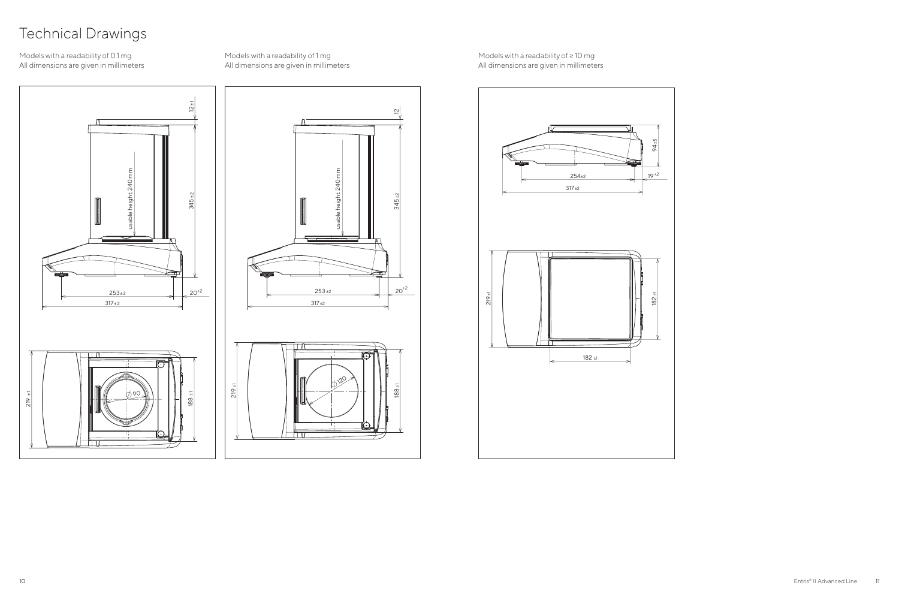# Technical Drawings

#### Models with a readability of 0.1 mg All dimensions are given in millimeters

 $12 \pm 1$  $\frac{1}{2}$  12  $\frac{1}{2}$  12  $\frac{1}{2}$  12  $\frac{1}{2}$  12  $\frac{1}{2}$  12  $\frac{1}{2}$  12  $\frac{1}{2}$  12  $\frac{1}{2}$  12  $\frac{1}{2}$  12  $\frac{1}{2}$  12  $\frac{1}{2}$  12  $\frac{1}{2}$  12  $\frac{1}{2}$  12  $\frac{1}{2}$  12  $\frac{1}{2}$  12  $\frac{1}{2}$  12  $\frac{1}{2}$  12 usable height: 240 mm usable height: 240 mm  $345.$  $\Rightarrow$  $253\pm 2$  20<sup>+2</sup>  $317 \pm 2$  $\Box$ 219 ± 1 90 188  $\Box$ 

Models with a readability of 1 mg All dimensions are given in millimeters

 $\tilde{e}$ 

 $\frac{8}{10}$ 

120

Models with a readability of ≥ 10 mg All dimensions are given in millimeters

317 ±2

 $\Box$   $\Box$   $\Box$ 

 $\Box$ 

 $253 + 2$ <br>  $253 + 2$ <br>  $20<sup>+2</sup>$ <br>  $20<sup>+2</sup>$ <br>  $20<sup>+2</sup>$ <br>  $20<sup>+2</sup>$ <br>  $20<sup>+2</sup>$ <br>  $20<sup>+2</sup>$ 

345 ±2



usable height: 240 mm